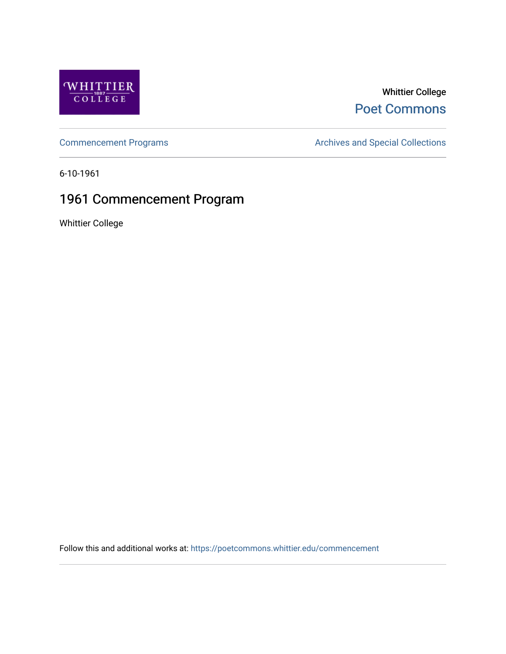

### Whittier College [Poet Commons](https://poetcommons.whittier.edu/)

[Commencement Programs](https://poetcommons.whittier.edu/commencement) **Archives and Special Collections** Archives and Special Collections

6-10-1961

## 1961 Commencement Program

Whittier College

Follow this and additional works at: [https://poetcommons.whittier.edu/commencement](https://poetcommons.whittier.edu/commencement?utm_source=poetcommons.whittier.edu%2Fcommencement%2F48&utm_medium=PDF&utm_campaign=PDFCoverPages)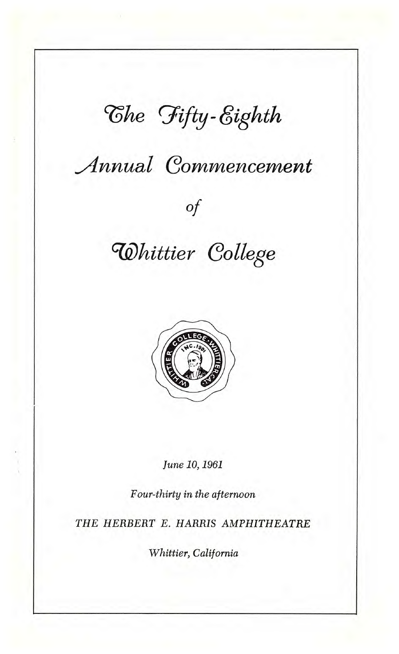# $\mathcal{C}$ *he Fifty-Eighth*

## **Annual Commencement**

# **Whittier College**

Of



June 10, 1961

Four-thirty in the afternoon

THE HERBERT E. HARRIS AMPHITHEATRE

Whittier, California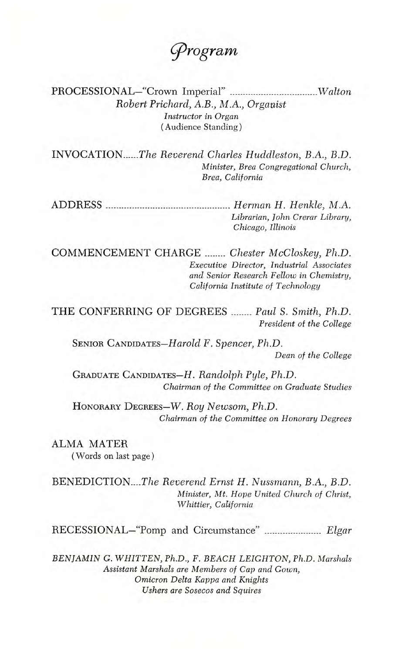rogram

PROCESSIONAL—"Crown Imperial" Walton Robert Prichard, A.B., MA., Organist Instructor in Organ (Audience Standing)

INVOCATION......The Reverend Charles Huddleston, B.A., B.D. Minister, Brea Congregational Church, Brea, California

ADDRESS Herman H. Henkle, M.A. Librarian, John Crerar Library, Chicago, Illinois

COMMENCEMENT CHARGE ........ Chester McCloskey, Ph.D. Executive Director, Industrial Associates and Senior Research Fellow in Chemistry, California Institute of Technology

THE CONFERRING OF DEGREES ........ Paul S. Smith, Ph.D. President of the College

SENIOR CANDIDATEs—Harold F. Spencer, Ph.D.

Dean of the College

GRADUATE CANDIDATES—H. Randolph Pyle, Ph.D. Chairman of the Committee on Graduate Studies

HONORARY DEGREES—W. Roy Newsom, Ph.D. Chairman of the Committee on Honorary Degrees

ALMA MATER (Words on last page)

BENEDICTION....The Reverend Ernst H. Nussmann, B.A., B.D. Minister, Mt. Hope United Church of Christ, Whittier, California

RECESSIONAL-"Pomp and Circumstance" ....................... Elgar

BENJAMIN G. WHITTEN, Ph.D., F. BEACH LEIGHTON, Ph.D. Marshals Assistant Marshals are Members of Cap and Gown, Omicron Delta Kappa and Knights Ushers are Sosecos and Squires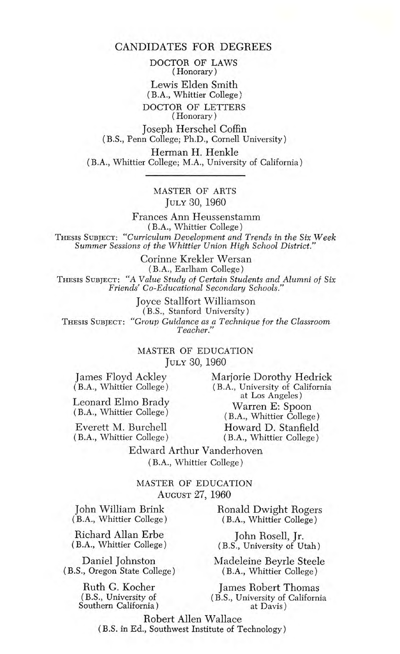DOCTOR OF LAWS (Honorary) Lewis Elden Smith (B.A., Whittier College) DOCTOR OF LETTERS (Honorary)

Joseph Herschel Coffin (B.S., Penn College; Ph.D., Cornell University)

Herman H. Henkle (BA., Whittier College; M.A., University of California)

#### MASTER OF ARTS JULY 30, 1960

Frances Ann Heussenstamm (BA., Whittier College) ThEsIs SUBJECT: "Curriculum Development and Trends in the Six Week Summer Sessions of the Whittier Union High School District."

Corinne Krekler Wersan (B.A., Earlham College) THESIS SUBJECT: "A Value Study of Certain Students and Alumni of Six<br>Friends' Co-Educational Secondary Schools."

Joyce Stalifort Williamson (B.S., Stanford University) THESIS SUBJECT: "Group Guidance as a Technique for the Classroom Teacher."

#### MASTER OF EDUCATION JULY 30, 1960

James Floyd Ackley (BA., Whittier College)

Leonard Elmo Brady (B.A., Whittier College)

Everett M. Burchell (BA., Whittier College) Marjorie Dorothy Hedrick (B.A., University of California at Los Angeles) Warren E: Spoon (B.A., Whittier College) Howard D. Stanfield (B.A., Whittier College)

Edward Arthur Vanderhoven (B.A., Whittier College)

MASTER OF EDUCATION AUGUST 27, 1960

John William Brink (B.A., Whittier College)

Richard Allan Erbe (BA., Whittier College)

Daniel Johnston (B.S., Oregon State College)

> Ruth G. Kocher (B.S., University of Southern California)

Ronald Dwight Rogers (B.A., Whittier College)

John Rosell, Jr. (B.S., University of Utah)

Madeleine Beyrle Steele (B.A., Whittier College)

James Robert Thomas (B.S., University of California at Davis)

Robert Allen Wallace (B.S. in Ed., Southwest Institute of Technology)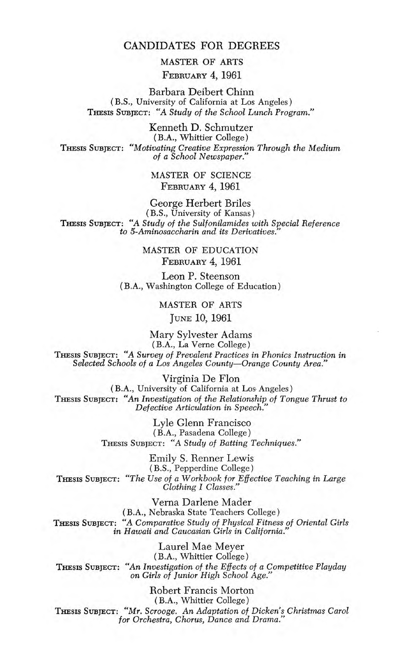MASTER OF ARTS FEBRUARY 4, 1961

Barbara Deibert Chinn (B.S., University of California at Los Angeles) THESIS SUBJECT: "A Study of the School Lunch Program."

Kenneth D. Schmutzer (BA., Whittier College) THESIS SUBJECT: "Motivating Creative Expression Through the Medium of a School Newspaper."

> MASTER OF SCIENCE FEBRUARY 4, 1961

George Herbert Briles (B.S., University of Kansas) THESIS SUBJECT: "A Study of the Sulfonilamides with Special Reference to 5-Aminosaccharin and its Derivatives.

> MASTER OF EDUCATION FEBRUARY 4, 1961

Leon P. Steenson (B.A., Washington College of Education)

MASTER OF ARTS

JUNE 10, 1961

Mary Sylvester Adams (B.A., La Verne College) THESIS SUBJECT: "A Survey of Prevalent Practices in Phonics Instruction in Selected Schools of a Los Angeles County—Orange County Area."

Virginia De Flon (B.A., University of California at Los Angeles) THEsIs SUBJECT "An Investigation of the Relationship of Tongue Thrust to Defective Articulation in Speech."

> Lyle Glenn Francisco (B.A., Pasadena College) THEsIS SUBJECT: "A Study of Batting Techniques."

Emily S. Renner Lewis (B.S., Pepperdine College) THESIS SUBJECT: "The Use of a Workbook for Effective Teaching in Large Clothing I Classes."

Verna Darlene Mader (B.A., Nebraska State Teachers College) THESIS SUBJECT: "A Comparative Study of Physical Fitness of Oriental Girls in Hawaii and Caucasian Girls in California.

Laurel Mae Meyer (B.A., Whittier College) THEsIs SUBJECT: "An Investigation of the Effects of a Competitive Playday on Girls of Junior High School Age.

Robert Francis Morton (B.A., Whittier College) THEsIs SUBJECT: "Mr. Scrooge. An Adaptation of Dicken's Christmas Carol for Orchestra, Chorus, Dance and Drama."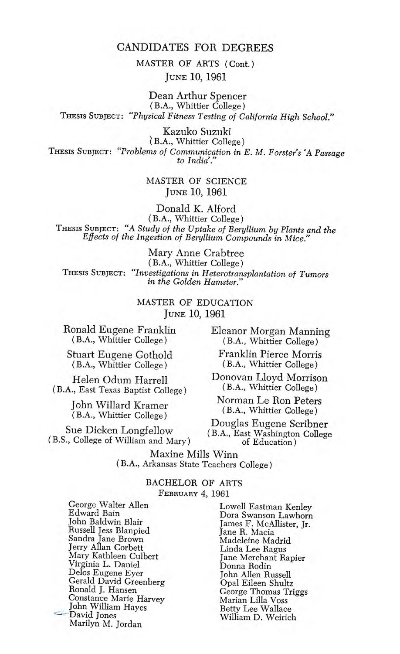MASTER OF ARTS (Cont.) JUNE 10, 1961

Dean Arthur Spencer (B.A., Whittier College) THESIS SUBJECT: "Physical Fitness Testing of California High School."

Kazuko Suzuki B.A., Whittier College) THEsIS SUBJECT: "Problems of Communication in E. M. Forster's 'A Passage to India'."

> MASTER OF SCIENCE JUNE 10, 1961

Donald K. Alford (B.A., Whittier College) THEsIs SUBJECT: "A Study of the Uptake of Beryllium by Plants and the Effects of the Ingestion of Beryllium Compounds in Mice."

Mary Anne Crabtree (BA., Whittier College) IHESIS SUBJECT: "Investigations in Heterotransplantation of Tumors" in the Golden Hamster.'

> MASTER OF EDUCATION JUNE 10, 1961

Ronald Eugene Franklin (B.A., Whittier College)

Stuart Eugene Gothold (BA., Whittier College)

Helen Odum Harrell (B.A., East Texas Baptist College)

> John Willard Kramer (B.A., Whittier College)

(B.S., College of William and Mary)

Eleanor Morgan Manning (B.A., Whittier College)

Franklin Pierce Morris (B.A., Whittier College)

Donovan Lloyd Morrison (B.A., Whittier College)

Norman Le Ron Peters (B.A., Whittier College)

Douglas Eugene Scribner<br>Sue Dicken Longfellow (B.A., East Washington College<br>of Education) (Gallege of William and Mary

Maxine Mills Winn (B.A., Arkansas State Teachers College)

> BACHELOR OF ARTS FEBRUARY 4, 1961

George Walter Allen Edward Bain John Baldwin Blair Russell Jess Blanpied Sandra Jane Brown Jerry Allan Corbett Mary Kathleen Culbert Virginia L. Daniel Delos Eugene Eyer Gerald David Greenberg Ronald J. Hansen Constance Marie Harvey John William Hayes David Jones Marilyn M. Jordan

Lowell Eastman Kenley Dora Swanson Lawhorn James F. McAllister, Jr. Jane R. Macia Madeleine Madrid Linda Lee Ragus Jane Merchant Rapier Donna Rodin John Allen Russell Opal Eileen Shultz George Thomas Triggs Marian Lilla Voss Betty Lee Wallace William D. Weirich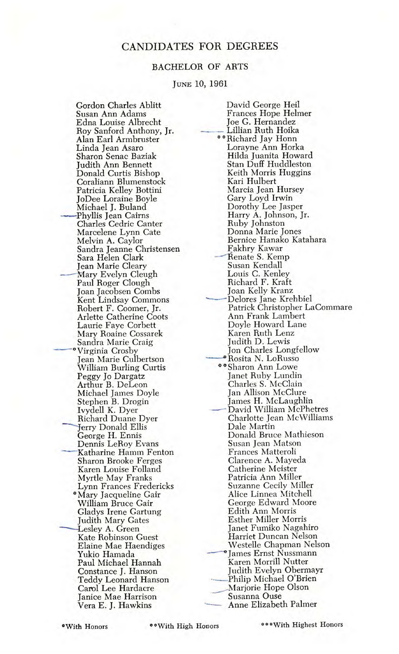#### BACHELOR OF ARTS

#### JUNE 10, 1961

Gordon Charles Ablitt Susan Ann Adams Edna Louise Albrecht Roy Sanford Anthony, Jr. Alan Earl Armbruster Linda Jean Asaro Sharon Senac Baziak Judith Ann Bennett Donald Curtis Bishop Coraliann Blumenstock Patricia Kelley Bottini JoDee Loraine Boyle Michael J. Buland —Phyllis Jean Cairns Charles Cedric Canter Marcelene Lynn Gate Melvin A. Caylor Sandra Jeanne Christensen Sara Helen Clark Jean Marie Cleary —Mary Evelyn Cleugh Paul Roger Clough Joan Jacobsen Combs Kent Lindsay Commons Robert F. Coomer, Jr. Arlette Catherine Coots Laurie Faye Corbett Mary Roaine Cossarek Sandra Marie Craig —\*Virginia Crosby Jean Marie Culbertson William Burling Curtis Peggy Jo Dargatz Arthur B. DeLeon Michael James Doyle Stephen B. Drogin Ivydell K. Dyer Richard Duane Dyer Jerry Donald Ellis George H. Ennis Dennis LeRoy Evans Katharine Hamm Fenton Sharon Brooke Ferges Karen Louise Folland Myrtle May Franks Lynn Frances Fredericks \*Mary Jacqueline Gair William Bruce Gair Gladys Irene Gartung Judith Mary Gates —Lesley A. Green Kate Robinson Guest Elaine Mae Haendiges Yukio Hamada Paul Michael Hannah Constance J. Hanson Teddy Leonard Hanson Carol Lee Hardacre Janice Mae Harrison Vera E. J. Hawkins

David George Heil Frances Hope Helmer Joe G. Hernandez Lillian Ruth Hoika <sup>o</sup> Richard Jay Honn Lorayne Ann Horka Hilda Juanita Howard Stan Duff Huddleston Keith Morris Huggins Kari Hulbert Marcia Jean Hursey Gary Loyd Irwin Dorothy Lee Jasper Harry A. Johnson, Jr. Ruby Johnston Donna Marie Jones Bernice Hanako Katahara 1'akhry Kawar -Renate S. Kemp Susan Kendall Louis C. Kenley Richard F. Kraft Joan Kelly Kranz —— Delores Jane Krehbiel<br>Patrick Christopher LaCommare Ann Frank Lambert Doyle Howard Lane Karen Ruth Lenz Judith D. Lewis Jon Charles Longfellow —Rosita N. LoRusso "Sharon Ann Lowe Janet Ruby Lundin Charles S. McClain Jan Allison McClure James H. McLaughlin —David William McPhetres Charlotte Jean McWilliams Dale Martin Donald Bruce Mathieson Susan Jean Matson Frances Matteroli Clarence A. Mayeda Catherine Meister Patricia Ann Miller Suzanne Cecily Miller Alice Linnea Mitchell George Edward Moore Edith Ann Morris Esther Miller Morris Janet Fumiko Nagahiro Harriet Duncan Nelson Westelle Chapman Nelson -James Ernst Nussmann Karen Morrill Nutter Judith Evelyn Obermayr Philip Michael O'Brien Marjorie Hope Olson Susanna Ouse - Anne Elizabeth Palmer

\*With Honors \*\*With High Honors \*With Highest Honors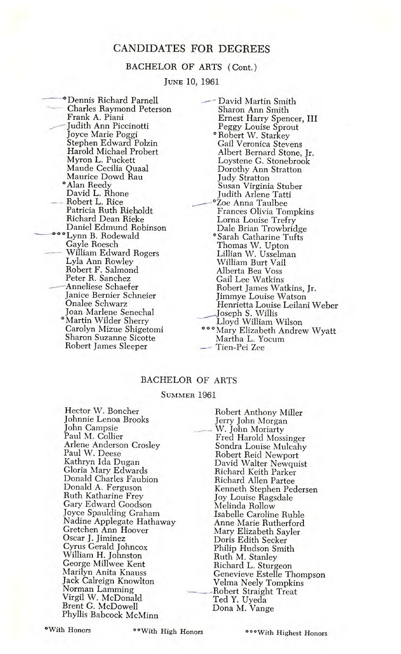#### BACHELOR OF ARTS (Cont.)

JUNE 10, 1961

BACHELOR<br>Jun<br>Dennis Richard Parnell<br>Charles Raymond Peterson Frank A. Piani \_—Judith Ann Piccinotti Joyce Marie Poggi Stephen Edward Poizin Harold Michael Probert Myron L. Puckett Maude Cecilia Quaal Maurice Dowd Rau \*Alan Reedy David L. Rhone Robert L. Rice Patricia Ruth Rieboldt Richard Dean Rieke Daniel Edmund Robinson \_\_\*Lynn B. Rodewald Gayle Roesch William Edward Rogers Lyla Ann Rowley Robert F. Salmond Peter R. Sanchez —Anneliese Schaefer Janice Bernier Sehneier Onalee Schwarz Joan Marlene Senechal \*Martin Wilder Sherry Carolyn Mizue Shigetomi Sharon Suzanne Sicotte Robert James Sleeper

David Martin Smith Sharon Ann Smith Ernest Harry Spencer, III Peggy Louise Sprout **\*Robert W. Starkey** Gail Veronica Stevens Albert Bernard Stone, Jr. Loystene G. Stonebrook Dorothy Ann Stratton Judy Stratton Susan Virginia Stuber Judith Arlene Tatti Zoe Anna Taulbee Frances Olivia Tompkins Lorna Louise Trefry Dale Brian Trowbridge \*Sarah Catharine Tufts Thomas W. Upton Lillian W. Usselman William Burt Vail Alberta Bea Voss Gail Lee Watkins Robert James Watkins, Jr. Jimmye Louise Watson Henrietta Louise Leilani Weber Joseph S. Willis Lloyd William Wilson \*\*\*Mary Elizabeth Andrew Wyatt Martha L. Yocum Tien-Pei Zee

#### BACHELOR OF ARTS

#### SUMMER 1961

Hector W. Boncher Johnnie Lenoa Brooks John Campsie Paul M. Collier Arlene Anderson Crosley Paul W. Deese Kathryn Ida Dugan Gloria Mary Edwards Donald Charles Faubion Donald A. Ferguson Ruth Katharine Frey Gary Edward Goodson Joyce Spaulding Graham Nadine Applegate Hathaway Gretchen Ann Hoover Oscar J. Jiminez Cyrus Gerald Johncox William H. Johnston George Millwee Kent Marilyn Anita Knauss Jack Calreign Knowlton Norman Lamming Virgil W. McDonald Brent C. McDowell Phyllis Babcock McMinn

Robert Anthony Miller Jerry John Morgan W. John Moriarty Fred Harold Mossinger Sondra Louise Mulcahy Robert Reid Newport David Walter Newquist Richard Keith Parker Richard Allen Partee Kenneth Stephen Pedersen Joy Louise Ragsdale Melinda Rollow Isabelle Caroline Ruble Anne Marie Rutherford Mary Elizabeth Sayler Doris Edith Seeker Philip Hudson Smith Ruth M. Stanley Richard L. Sturgeon Genevieve Estelle Thompson Velma Neely Tompkins -Robert Straight Treat Ted Y. Uyeda Dona M. Vange

\*With Honors "With High Honors

\*\*\* With Highest Honors